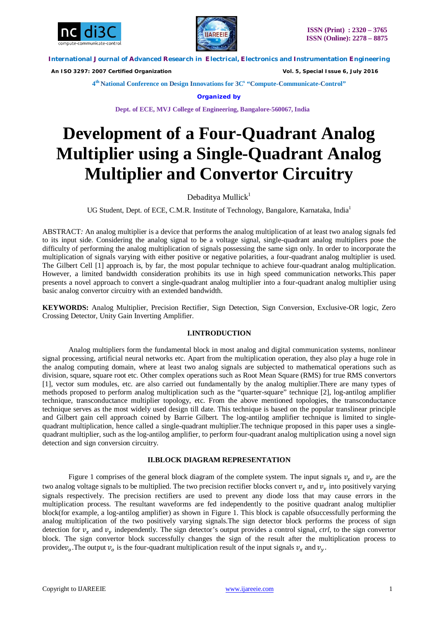



**International Journal of Advanced Research in Electrical, Electronics and Instrumentation Engineering**

 *An ISO 3297: 2007 Certified Organization Vol. 5, Special Issue 6, July 2016*

**4 th National Conference on Design Innovations for 3C s "Compute-Communicate-Control"** 

**Organized by**

**Dept. of ECE, MVJ College of Engineering, Bangalore-560067, India**

# **Development of a Four-Quadrant Analog Multiplier using a Single-Quadrant Analog Multiplier and Convertor Circuitry**

Debaditya Mullick<sup>1</sup>

UG Student, Dept. of ECE, C.M.R. Institute of Technology, Bangalore, Karnataka, India<sup>1</sup>

ABSTRACT*:* An analog multiplier is a device that performs the analog multiplication of at least two analog signals fed to its input side. Considering the analog signal to be a voltage signal, single-quadrant analog multipliers pose the difficulty of performing the analog multiplication of signals possessing the same sign only. In order to incorporate the multiplication of signals varying with either positive or negative polarities, a four-quadrant analog multiplier is used. The Gilbert Cell [1] approach is, by far, the most popular technique to achieve four-quadrant analog multiplication. However, a limited bandwidth consideration prohibits its use in high speed communication networks.This paper presents a novel approach to convert a single-quadrant analog multiplier into a four-quadrant analog multiplier using basic analog convertor circuitry with an extended bandwidth.

**KEYWORDS:** Analog Multiplier, Precision Rectifier, Sign Detection, Sign Conversion, Exclusive-OR logic, Zero Crossing Detector, Unity Gain Inverting Amplifier.

## **I.INTRODUCTION**

Analog multipliers form the fundamental block in most analog and digital communication systems, nonlinear signal processing, artificial neural networks etc. Apart from the multiplication operation, they also play a huge role in the analog computing domain, where at least two analog signals are subjected to mathematical operations such as division, square, square root etc. Other complex operations such as Root Mean Square (RMS) for true RMS convertors [1], vector sum modules, etc. are also carried out fundamentally by the analog multiplier.There are many types of methods proposed to perform analog multiplication such as the "quarter-square" technique [2], log-antilog amplifier technique, transconductance multiplier topology, etc. From the above mentioned topologies, the transconductance technique serves as the most widely used design till date. This technique is based on the popular translinear principle and Gilbert gain cell approach coined by Barrie Gilbert. The log-antilog amplifier technique is limited to singlequadrant multiplication, hence called a single-quadrant multiplier.The technique proposed in this paper uses a singlequadrant multiplier, such as the log-antilog amplifier, to perform four-quadrant analog multiplication using a novel sign detection and sign conversion circuitry.

## **II.BLOCK DIAGRAM REPRESENTATION**

Figure 1 comprises of the general block diagram of the complete system. The input signals  $v_x$  and  $v_y$  are the two analog voltage signals to be multiplied. The two precision rectifier blocks convert  $v<sub>r</sub>$  and  $v<sub>v</sub>$  into positively varying signals respectively. The precision rectifiers are used to prevent any diode loss that may cause errors in the multiplication process. The resultant waveforms are fed independently to the positive quadrant analog multiplier block(for example, a log-antilog amplifier) as shown in Figure 1. This block is capable ofsuccessfully performing the analog multiplication of the two positively varying signals.The sign detector block performs the process of sign detection for  $v<sub>r</sub>$  and  $v<sub>v</sub>$  independently. The sign detector's output provides a control signal, *ctrl*, to the sign convertor block. The sign convertor block successfully changes the sign of the result after the multiplication process to providev<sub>o</sub>. The output  $v_o$  is the four-quadrant multiplication result of the input signals  $v_x$  and  $v_y$ .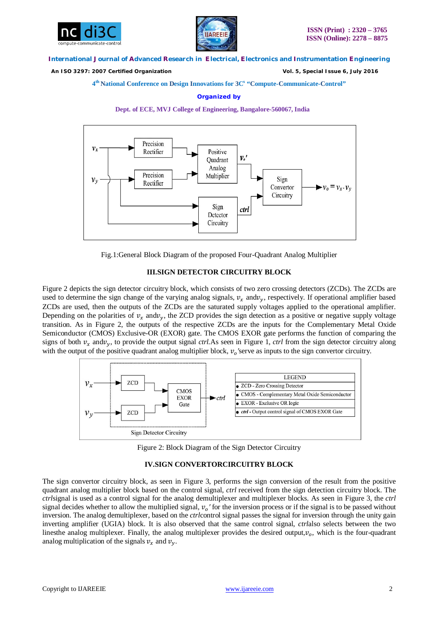



#### **International Journal of Advanced Research in Electrical, Electronics and Instrumentation Engineering**

 *An ISO 3297: 2007 Certified Organization Vol. 5, Special Issue 6, July 2016*

## **4 th National Conference on Design Innovations for 3C s "Compute-Communicate-Control"**

#### **Organized by**





Fig.1:General Block Diagram of the proposed Four-Quadrant Analog Multiplier

## **III.SIGN DETECTOR CIRCUITRY BLOCK**

Figure 2 depicts the sign detector circuitry block, which consists of two zero crossing detectors (ZCDs). The ZCDs are used to determine the sign change of the varying analog signals,  $v_x$  and $v_y$ , respectively. If operational amplifier based ZCDs are used, then the outputs of the ZCDs are the saturated supply voltages applied to the operational amplifier. Depending on the polarities of  $v_x$  and $v_y$ , the ZCD provides the sign detection as a positive or negative supply voltage transition. As in Figure 2, the outputs of the respective ZCDs are the inputs for the Complementary Metal Oxide Semiconductor (CMOS) Exclusive-OR (EXOR) gate. The CMOS EXOR gate performs the function of comparing the signs of both  $v_r$  and  $v_y$ , to provide the output signal *ctrl*. As seen in Figure 1, *ctrl* from the sign detector circuitry along with the output of the positive quadrant analog multiplier block,  $v_o$ 'serve as inputs to the sign convertor circuitry.



Figure 2: Block Diagram of the Sign Detector Circuitry

## **IV.SIGN CONVERTORCIRCUITRY BLOCK**

The sign convertor circuitry block, as seen in Figure 3, performs the sign conversion of the result from the positive quadrant analog multiplier block based on the control signal, *ctrl* received from the sign detection circuitry block. The *ctrl*signal is used as a control signal for the analog demultiplexer and multiplexer blocks. As seen in Figure 3, the *ctrl* signal decides whether to allow the multiplied signal, ݒ *′* for the inversion process or if the signal is to be passed without inversion. The analog demultiplexer, based on the *ctrl*control signal passes the signal for inversion through the unity gain inverting amplifier (UGIA) block. It is also observed that the same control signal, *ctrl*also selects between the two linesthe analog multiplexer. Finally, the analog multiplexer provides the desired output, $v<sub>o</sub>$ , which is the four-quadrant analog multiplication of the signals  $v_x$  and  $v_y$ .